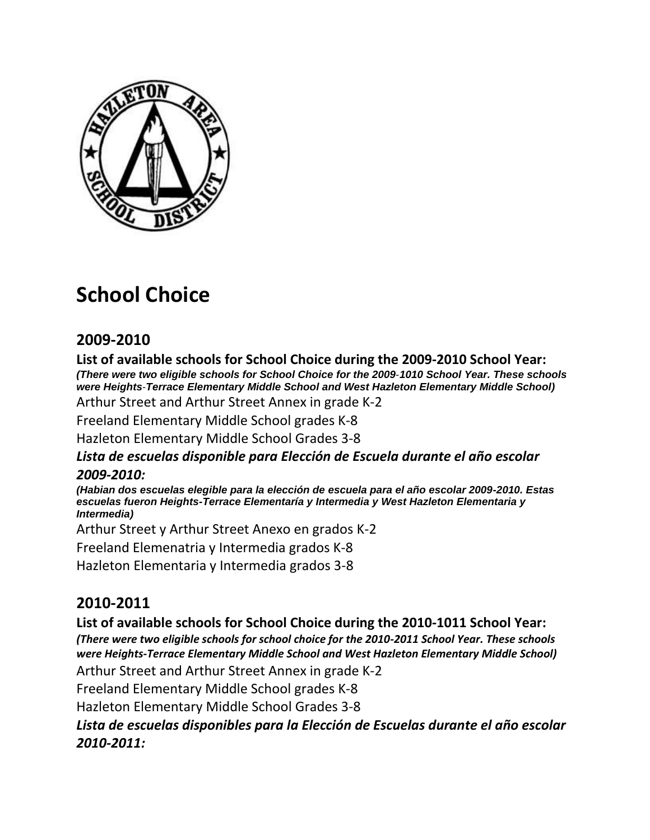

# **School Choice**

## **2009-2010**

**List of available schools for School Choice during the 2009‐2010 School Year:**  *(There were two eligible schools for School Choice for the 2009*‐*1010 School Year. These schools were Heights*‐*Terrace Elementary Middle School and West Hazleton Elementary Middle School)* 

Arthur Street and Arthur Street Annex in grade K‐2

Freeland Elementary Middle School grades K‐8

Hazleton Elementary Middle School Grades 3‐8

#### *Lista de escuelas disponible para Elección de Escuela durante el año escolar 2009-2010:*

*(Habian dos escuelas elegible para la elección de escuela para el año escolar 2009-2010. Estas escuelas fueron Heights-Terrace Elementaría y Intermedia y West Hazleton Elementaria y Intermedia)* 

Arthur Street y Arthur Street Anexo en grados K‐2

Freeland Elemenatria y Intermedia grados K‐8

Hazleton Elementaria y Intermedia grados 3‐8

### **2010-2011**

**List of available schools for School Choice during the 2010‐1011 School Year:**  *(There were two eligible schools for school choice for the 2010-2011 School Year. These schools were Heights‐Terrace Elementary Middle School and West Hazleton Elementary Middle School)*  Arthur Street and Arthur Street Annex in grade K‐2 Freeland Elementary Middle School grades K‐8 Hazleton Elementary Middle School Grades 3‐8 *Lista de escuelas disponibles para la Elección de Escuelas durante el año escolar 2010-2011:*